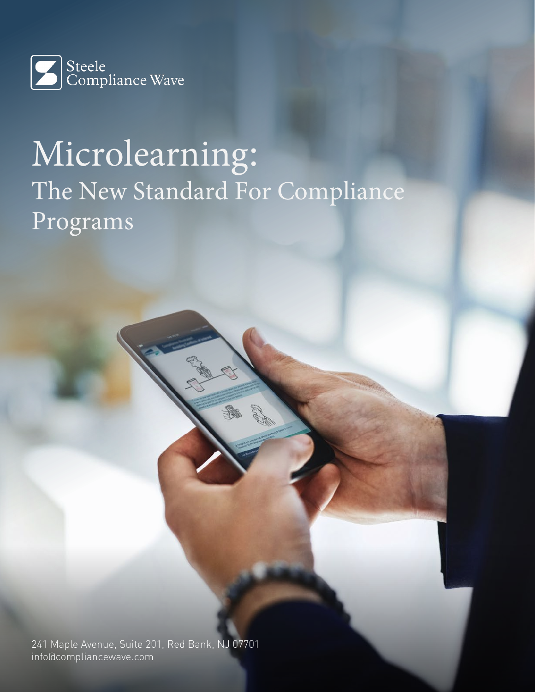

# Microlearning: The New Standard For Compliance Programs

241 Maple Avenue, Suite 201, Red Bank, NJ 07701 info@compliancewave.com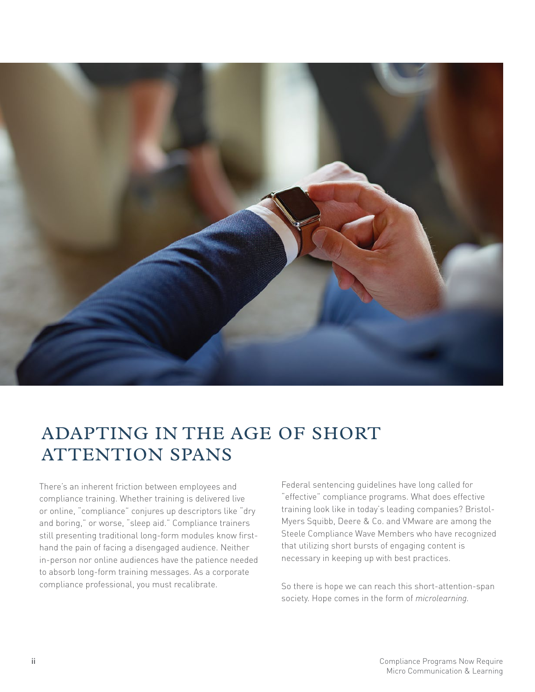

## ADAPTING IN THE AGE OF SHORT ATTENTION SPANS

There's an inherent friction between employees and compliance training. Whether training is delivered live or online, "compliance" conjures up descriptors like "dry and boring," or worse, "sleep aid." Compliance trainers still presenting traditional long-form modules know firsthand the pain of facing a disengaged audience. Neither in-person nor online audiences have the patience needed to absorb long-form training messages. As a corporate compliance professional, you must recalibrate.

Federal sentencing guidelines have long called for "effective" compliance programs. What does effective training look like in today's leading companies? Bristol-Myers Squibb, Deere & Co. and VMware are among the Steele Compliance Wave Members who have recognized that utilizing short bursts of engaging content is necessary in keeping up with best practices.

So there is hope we can reach this short-attention-span society. Hope comes in the form of *microlearning.*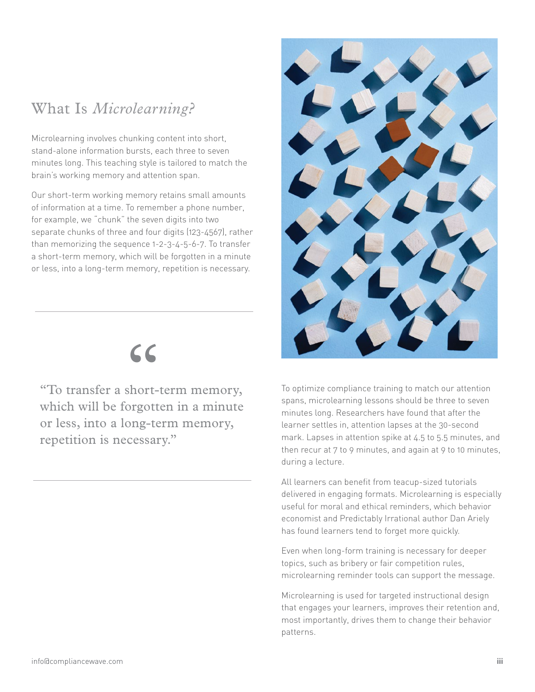#### What Is *Microlearning?*

Microlearning involves chunking content into short, stand-alone information bursts, each three to seven minutes long. This teaching style is tailored to match the brain's working memory and attention span.

Our short-term working memory retains small amounts of information at a time. To remember a phone number, for example, we "chunk" the seven digits into two separate chunks of three and four digits (123-4567), rather than memorizing the sequence 1-2-3-4-5-6-7. To transfer a short-term memory, which will be forgotten in a minute or less, into a long-term memory, repetition is necessary.



"To transfer a short-term memory, which will be forgotten in a minute or less, into a long-term memory, repetition is necessary."



To optimize compliance training to match our attention spans, microlearning lessons should be three to seven minutes long. Researchers have found that after the learner settles in, attention lapses at the 30-second mark. Lapses in attention spike at 4.5 to 5.5 minutes, and then recur at 7 to 9 minutes, and again at 9 to 10 minutes, during a lecture.

All learners can benefit from teacup-sized tutorials delivered in engaging formats. Microlearning is especially useful for moral and ethical reminders, which behavior economist and Predictably Irrational author Dan Ariely has found learners tend to forget more quickly.

Even when long-form training is necessary for deeper topics, such as bribery or fair competition rules, microlearning reminder tools can support the message.

Microlearning is used for targeted instructional design that engages your learners, improves their retention and, most importantly, drives them to change their behavior patterns.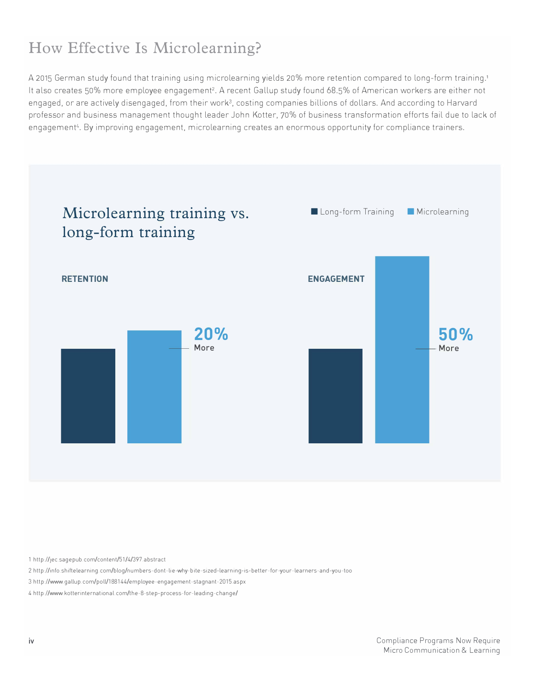### **How Effective Is Microlearning?**

A 2015 German study found that training using microlearning yields 20% more retention compared to long-form training.<sup>1</sup> It also creates 50% more employee engagement<sup>2</sup>. A recent Gallup study found 68.5% of American workers are either not engaged, or are actively disengaged, from their work<sup>3</sup>, costing companies billions of dollars. And according to Harvard professor and business management thought leader John Kotter, 70% of business transformation efforts fail due to lack of engagement4. By improving engagement, microlearning creates an enormous opportunity for compliance trainers.



1 http/ /jec.sagepub.com/content/51 /4/397.abstract

2 http://info.shiftelearning.com/blog/numbers-dont-lie-why-bite-sized-learning-is-better-for-your-learners-and-you-too

3 http//www.gallup.com/poll/188144/employee-engagement-stagnant-2015.aspx

4 http://www.kotterinternational.com/the-8-step-process-for-leading-change/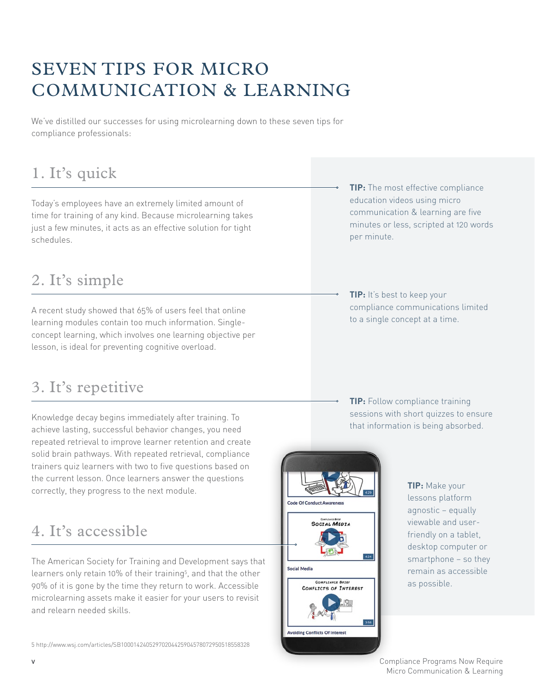# SEVEN TIPS FOR MICRO COMMUNICATION & LEARNING

We've distilled our successes for using microlearning down to these seven tips for compliance professionals:

# 1. It's quick

Today's employees have an extremely limited amount of time for training of any kind. Because microlearning takes just a few minutes, it acts as an effective solution for tight schedules.

#### 2. It's simple

A recent study showed that 65% of users feel that online learning modules contain too much information. Singleconcept learning, which involves one learning objective per lesson, is ideal for preventing cognitive overload.

#### 3. It's repetitive

Knowledge decay begins immediately after training. To achieve lasting, successful behavior changes, you need repeated retrieval to improve learner retention and create solid brain pathways. With repeated retrieval, compliance trainers quiz learners with two to five questions based on the current lesson. Once learners answer the questions correctly, they progress to the next module.

#### 4. It's accessible

The American Society for Training and Development says that learners only retain 10% of their training<sup>5</sup>, and that the other 90% of it is gone by the time they return to work. Accessible microlearning assets make it easier for your users to revisit and relearn needed skills.

- **TIP:** The most effective [compliance](http://www.compliancewave.com/library-preview/compliance-brief-whiteboard-videos)  [education videos using micro](http://www.compliancewave.com/library-preview/compliance-brief-whiteboard-videos)  [communication & learning](http://www.compliancewave.com/library-preview/compliance-brief-whiteboard-videos) are five minutes or less, scripted at 120 words per minute.
- **TIP:** It's best to keep your compliance communications limited to a [single concept at a time](http://www.compliancewave.com/awareness-giving-and-receiving-gifts).

**TIP:** Follow compliance [training](http://www.compliancewave.com/micro-modules-announcement-hs)  [sessions with short quizzes](http://www.compliancewave.com/micro-modules-announcement-hs) to ensure that information is being absorbed.



**TIP:** Make your lessons platform agnostic – equally viewable and userfriendly on a tablet, desktop computer or smartphone – so they remain as accessible as possible.

v **v** Compliance Programs Now Require Micro Communication & Learning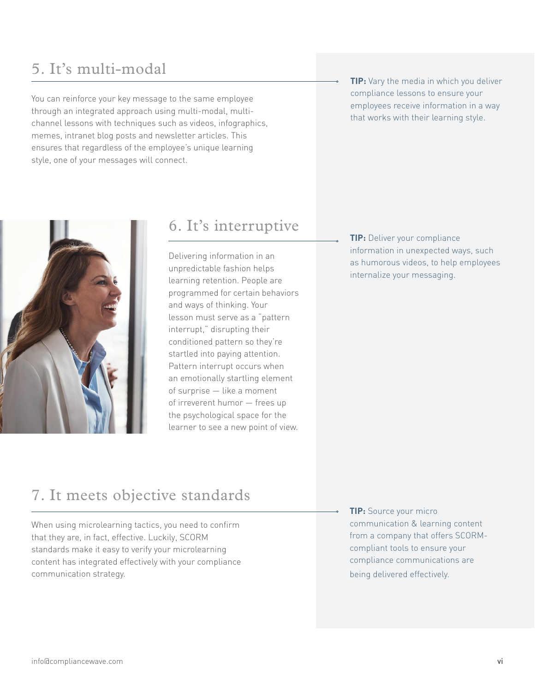#### 5. It's multi-modal

You can reinforce your key message to the same employee through an integrated approach using multi-modal, multichannel lessons with techniques such as videos, infographics, memes, intranet blog posts and newsletter articles. This ensures that regardless of the employee's unique learning style, one of your messages will connect.





#### 6. It's interruptive

Delivering information in an unpredictable fashion helps learning retention. People are programmed for certain behaviors and ways of thinking. Your lesson must serve as a "pattern interrupt," disrupting their conditioned pattern so they're startled into paying attention. Pattern interrupt occurs when an emotionally startling element of surprise — like a moment of irreverent humor — frees up the psychological space for the learner to see a new point of view.

**TIP:** Deliver your compliance information in unexpected ways, such as [humorous videos](http://www.compliancewave.com/kids-on-compliance-dh), to help employees internalize your messaging.

#### 7. It meets objective standards

When using microlearning tactics, you need to confirm that they are, in fact, effective. Luckily, SCORM standards make it easy to verify your microlearning content has integrated effectively with your compliance communication strategy.

**TIP:** Source your micro communication & learning content from a company that offers [SCORM](http://www.compliancewave.com/micro-modules-announcement-hs)[compliant tools](http://www.compliancewave.com/micro-modules-announcement-hs) to ensure your compliance communications are being delivered effectively.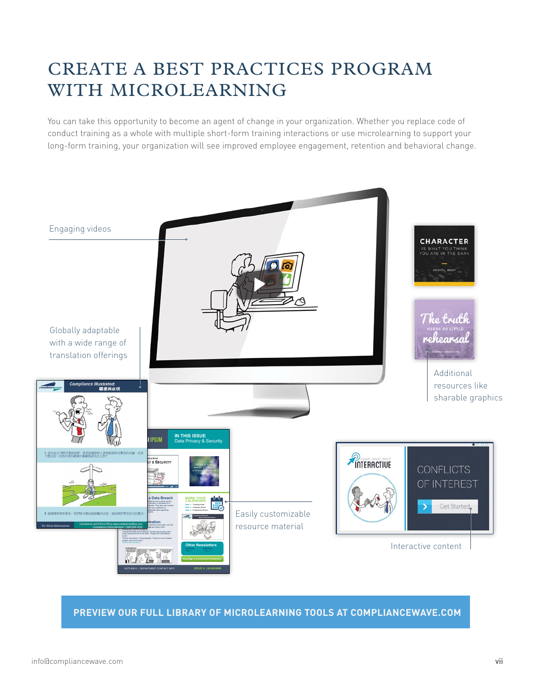# CREATE A BEST PRACTICES PROGRAM WITH MICROLEARNING

You can take this opportunity to become an agent of change in your organization. Whether you replace code of conduct training as a whole with multiple short-form training interactions or use microlearning to support your long-form training, your organization will see improved employee engagement, retention and behavioral change.



#### **[PREVIEW OUR FULL LIBRARY OF MICROLEARNING TOOLS AT COMPLIANCEWAVE.COM](http://www.compliancewave.com/free-library-preview)**